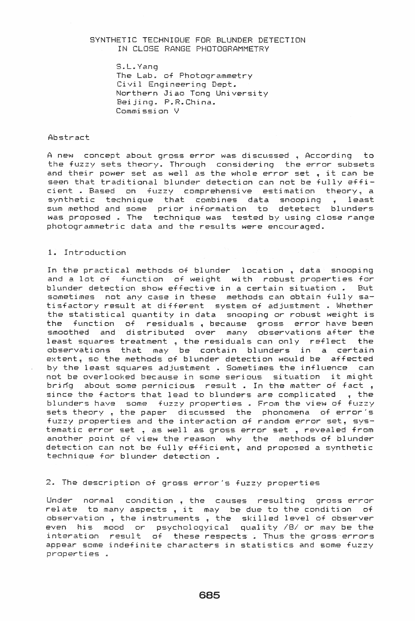## SYNTHETIC TECHNIQUE FOR BLUNDER DETECTION IN CLOSE RANGE PHOTOGRAMMETRY

S.L. Yang The Lab. of Photogrammetry Civil Engineering Dept. Northern Jiao Tong University Beijing. P.R. China. Commission V

### Abstract

A new concept about gross error was discussed • According to the fuzzy sets theory. Through considering the error subsets and their power set as well as the whole error set , it can be seen that traditional blunder detection can not be fully efficient . Based on fuzzy comprehensive estimation theory, a synthetic technique that combines data snooping , least sum method and some prior information to detetect blunders was proposed • The technique was tested by using close range photogrammetric data and the results were encouraged.

## 1. Introduction

In the practical methods of blunder location. data snooping and a lot of function of weight with robust properties for blunder detection show effective in a certain situation.. But sometimes not any case in these methods can obtain fully satisfactory result at different system of adjustment . Whether the statistical quantity in data snooping or robust weight is the function of residuals. because gross error have been smoothed and distributed over many observations after the least squares treatment , the residuals can only reflect the observations that may be contain blunders in a certain extent, so the methods of blunder detection would be affected by the least squares adjustment • Sometimes the influence can not be overlooked because in some serious situation it might bring about some pernicious result. In the matter of fact, since the factors that lead to blunders are complicated  $,$  the blunders have some fuzzy properties. From the view of fuzzy sets theory, the paper discussed the phonomena of error's fuzzy properties and the interaction of random error set, systematic error set , as well as gross error set , revealed from another point of view the reason why the methods of blunder detection can not be fully efficient, and proposed a synthetic technique for blunder detection •

2. The description of gross error's fuzzy properties

Under normal condition, the causes resulting gross error relate to many aspects, it may be due to the condition of observation, the instruments, the skilled level of observer even his mood or psychologyical quality *181* or may be the interation result of these respects. Thus the gross errors appear some indefinite characters in statistics and some fuzzy properties .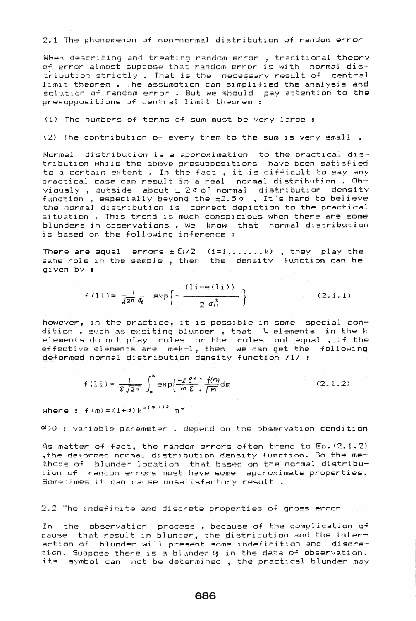### 2.1 The phonomenon of non-normal distribution of random error

When describing and treating random error , traditional theory of error almost suppose that random error is with normal distribution strictly. That is the necessary result of central limit theorem . The assumption can simplified the analysis and solution of random error. But we should pay attention to the presuppositions of central limit theorem :

(1) The numbers of terms of sum must be very large ;

(2) The contribution of every trem to the sum is very small.

Normal distribution is a approximation to the practical distribution while the above presuppositions have been satisfied to a certain extent . In the fact, it is difficult to say any practical case can result in a real normal distribution . Obviously, outside about  $\pm$  26 of normal distribution density function, especially beyond the ±2.50, It's hard to believe the normal distribution is correct depiction to the practical situation . This trend is much conspicious when there are some blunders in observations. We know that normal distribution is based on the following inference :

There are equal errors  $\pm 2i/2$  (i=1,......k), they play the same role in the sample, then the density function can be  $diven by :$ 

$$
f(i) = \frac{1}{\sqrt{2\pi} \sigma_0} \exp\left\{-\frac{(1i - \Theta(i))}{2 \sigma_0^2}\right\}
$$
 (2.1.1)

however, in the practice, it is possible in some special condition , such as exsiting blunder , that , L elements in the k elements do not play roles or the roles not equal , if the effective elements are m=k-l, then we can get the following deformed normal distribution density function /1/ :

$$
f(1i) = \frac{1}{\mathcal{E}\sqrt{2\pi}} \int_0^K \exp\left(\frac{-2\ell^2}{m\mathcal{E}}\right) \frac{f(m)}{\sqrt{m}} dm
$$
 (2.1.2)

where :  $f(m) = (1 + \alpha) k^{-(\alpha + 1)}$  m<sup>a</sup>

 $\infty$  , variable parameter . depend on the observation condition

As matter of fact, the random errors often trend to Eq.  $(2.1.2)$ , the deformed normal distribution density function. So the methods of blunder location that based on the normal distribution of random errors must have some approximate properties, Sometimes it can cause unsatisfactory result .

2.2 The indefinite and discrete properties of gross error

In the observation process, because of the complication of cause that result in blunder, the distribution and the interaction of blunder will present some indefinition and discretion. Suppose there is a blunder  $c_1$  in the data of observation, its symbol can not be determined, the practical blunder may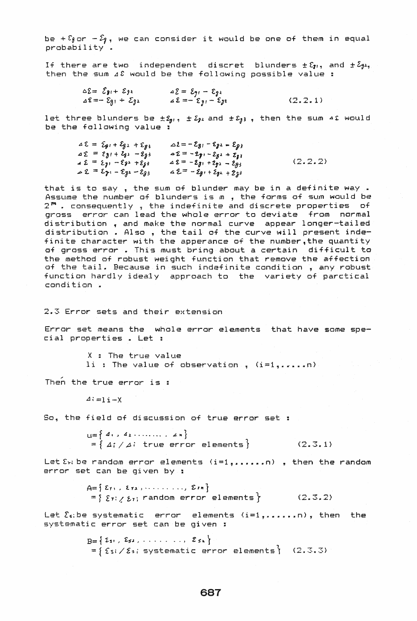be +  $\Sigma$  or  $-\hat{\Sigma}_1$ , we can consider it would be one of them in equal  $probability$ .

If there are two independent discret blunders  $\pm \mathcal{E}_{21}$ , and  $\pm \mathcal{E}_{32}$ , then the sum  $\Delta \mathcal{E}$  would be the following possible value:

> $\Delta \Sigma = \mathcal{E}_{g1} + \mathcal{E}_{g2}$ <br>  $\Delta \Sigma = -\mathcal{E}_{g1} + \mathcal{E}_{g2}$ <br>  $\Delta \Sigma = -\mathcal{E}_{g1} - \mathcal{E}_{g2}$  $(2.2.1)$

let three blunders be  $\pm \mathcal{E}_{p1}$ ,  $\pm \mathcal{E}_{p2}$  and  $\pm \mathcal{E}_{p3}$ , then the sum 42 would be the following value :

| $\Delta \mathcal{E} = \mathcal{E}_{\theta} + \mathcal{E}_{\theta} + \mathcal{E}_{\theta}$ | $\triangle$ 2 = - $\Sigma_{81}$ - $\Sigma_{82}$ = $\Sigma_{83}$ |           |
|-------------------------------------------------------------------------------------------|-----------------------------------------------------------------|-----------|
| $42 = 8g_1 + 2g_2 - 2g_3$                                                                 | $22 = -2y - 2z + 2y$                                            |           |
| $42 = 231 - 232 + 233$                                                                    | $42 = -2g_1 + 2g_2 - 2g_3$                                      | (2, 2, 2) |
| $42 = 2 - 281$                                                                            | $42 = -2g_1 + 2g_2 + 2g_3$                                      |           |

that is to say, the sum of blunder may be in a definite way. Assume the number of blunders is m , the forms of sum would be  $2<sup>m</sup>$ . consequently, the indefinite and discrete properties of gross error can lead the whole error to deviate from normal distribution, and make the normal curve appear longer-tailed distribution . Also , the tail of the curve will present indefinite character with the apperance of the number, the quantity of gross error. This must bring about a certain difficult to the method of robust weight function that remove the affection of the tail. Because in such indefinite condition, any robust function hardly idealy approach to the variety of parctical condition.

2.3 Error sets and their extension

Error set means the whole error elements that have some special properties . Let :

> X : The true value li : The value of observation ,  $(i=1, \ldots, n)$

Then the true error is:

 $\Delta i = i + X$ 

So, the field of discussion of true error set :

 $L = \{4, 4, 4, \ldots, 4, n\}$ =  $\int \Delta f / \Delta i$  true error elements }  $(2.3.1)$ 

Let  $\Sigma_{11}$  be random error elements  $(i=1, \ldots, n)$ , then the random error set can be given by :

> $A = \{ \varepsilon_1, \varepsilon_2, \dots, \varepsilon_{n} \}$  $=\{ \xi_7; \xi_7; \text{ random error elements} \}$  (2.3.2)

Let  $\S$ s; be systematic error elements  $(i=1, \ldots, n)$ , then the systematic error set can be given :

> $B = \{ \Sigma_{51}, \Sigma_{52}, \ldots, \Sigma_{5n} \}$  $=\{ \xi s_i \; / \; \xi s_i \; \text{systematic error elements} \}$  (2.3.3)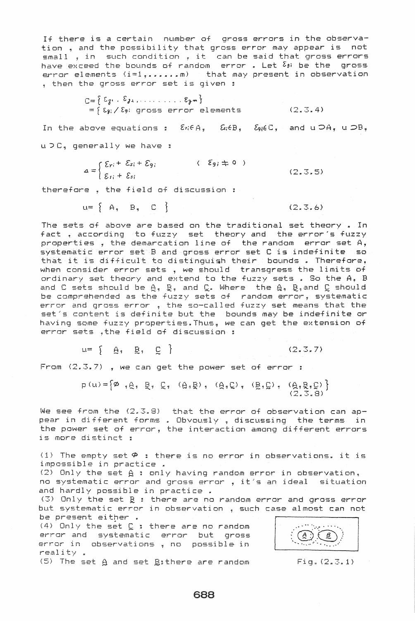If there is a certain number of gross errors in the observation , and the possibility that gross error may appear is not small • in such condition • it can be said that qross errors have exceed the bounds of random error. Let  $\delta_{jl}$  be the gross error elements (i=1,......m) that may present in observation then the gross error set is given

> $C = \{ \xi_{\hat{\delta}^1} : \xi_{\hat{\delta}^2}, \ldots \ldots \ldots \xi_{\hat{\delta}^m} \}$  $= \int \epsilon_{\mathfrak{s}}$ ; /  $\ell_{\mathfrak{s}}$ : gross error elements. (2.3.4)

In the above equations:  $\mathcal{E}_n \in A$ ,  $\mathcal{E}_n \in B$ ,  $\mathcal{E}_j \in C$ , and  $u \supset A$ ,  $u \supset B$ ,  $u > C$ , generally we have :

> $\{g\}$  $a = \begin{cases} E_{ri} + \end{cases}$  $\mathcal{E}_{11}$  +  $+ \mathcal{E}_{q}$ ;  $\langle \mathcal{E}_{g} \rangle \pm 0$  $(2, 3, 5)$

therefore , the field of discussion

$$
u = \begin{cases} A, & B, & C \end{cases} (2, 3, 6)
$$

The sets of above are based on the traditional set theory • In fact, according to fuzzy set theory and the error's fuzzy properties, the demarcation line of the random error set A, systematic error set B and gross error set C is indefinite so that it is difficult to distinguish their bounds . Therefore, when consider error sets, we should transgress the limits of ordinary set theory and extend to the fuzzy sets. So the A, B and C sets should be  $\beta$ ,  $\beta$ , and  $\zeta$ . Where the  $\beta$ ,  $\beta$ , and  $\zeta$  should be comprehended as the fuzzy sets of random error, systematic error and gross error , the so-called fuzzy set means that the set's content is definite but the bounds may be indefinite or having some fuzzy properties.Thus, we can get the extension of error sets ,the field of discussion

$$
u = \left\{ \begin{array}{c} \beta, & \beta', & \zeta \end{array} \right\}
$$

$$
(2.3.7)
$$

From (2.3.7) , we can get the power set of error:

 $p(u) = \begin{cases} \emptyset & q \in \mathbb{R}^n, \mathbb{R}^n, \mathbb{C}^n, \mathbb{C}^n, \mathbb{R}^n, \mathbb{R}^n, \mathbb{R}^n, \mathbb{R}^n, \mathbb{R}^n, \mathbb{R}^n, \mathbb{R}^n, \mathbb{R}^n, \mathbb{R}^n, \mathbb{R}^n, \mathbb{R}^n, \mathbb{R}^n, \mathbb{R}^n, \mathbb{R}^n, \mathbb{R}^n, \mathbb{R}^n, \mathbb{R}^n, \mathbb{R}^n, \mathbb{R}$ 

We see from the (2.3.8) that the error of observation can apna saa *n* and harerer that the end of observation car ap the power set of error, the interaction among different errors is more distinct :

(1) The empty set  $\varphi$  : there is no error in observations. it is impossible in practice .

(2) Only the set  $\theta$  : only having random error in observation. no systematic error and gross error, it's an ideal situation and hardly possible in practice .

(3) Only the set  $g :$  there are no random error and gross error but systematic error in observation , such case almost can not be present either .

(4) Only the set C : there are no random error and systematic error but gross error in observations, no possible in reality

 $(5)$  The set  $\beta$  and set  $\beta$ sthere are random

**I** 

 $Fig. (2.3.1)$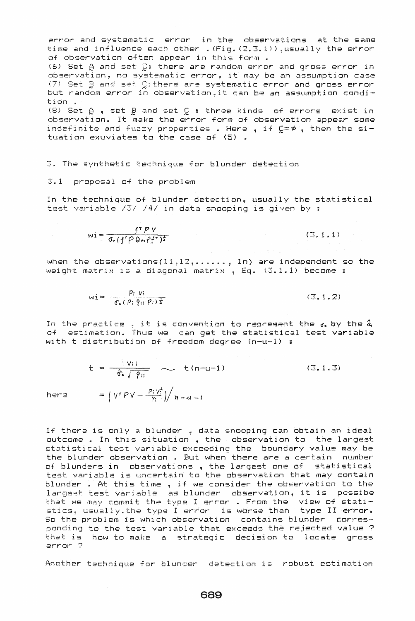error and systematic error in the observations at the same time and influence each other . (Fig.  $(2,3.1)$ ), usually the error of observation often appear in this form a (6) Set B and set £: there are random error and gross error in observation, no systematic error, it may be an assumption case (7) Set B and set Cithere are systematic error and gross error but random error in observation,it can be an assumption condition " (8) Set  $\beta$  , set  $\beta$  and set  $\beta$  : three kinds of errors exist in observation. It make the error form of observation appear some indefinite and fuzzy properties . Here , if  $D=$   $\phi$  , then the situation exuviates to the case of (5)

3. The synthetic technique for blunder detection

 $3.1$  proposal of the problem

In the technique of blunder detection, usually the statistical test variable /3/ */41* in data snooping is given by

$$
wi = \frac{f^T P V}{\sigma_{\bullet} (f^T P Q_{vv} P f^T)^{\frac{1}{2}}}
$$

 $(3, 1, 1)$ 

when the observations(11,12,u ••••• , In) are independent so the weight matrix is a diagonal matrix , Eq.  $(3.1.1)$  become :

$$
w i = \frac{p_i v_i}{\sigma_o (p_i \, \hat{q}_i, \, \hat{p}_i) \, \frac{1}{2}} \tag{3.1.2}
$$

In the practice , it is convention to represent the  $\sigma$ . by the  $\hat{\sigma}$ . of estimation. Thus we can get the statistical test variable with t distribution of freedom degree (n-u-1) :

$$
t = \frac{1}{\hat{\sigma}_0 \sqrt{\hat{\gamma}_0}} \sim t(n-u-1)
$$
 (3.1.3)  
=  $\left(\sqrt{r}P\sqrt{-\frac{p_1 v_0^2}{\gamma_0}}\right) / n-u-1$ 

here

If there is only a blunder , data snooping can obtain an ideal outcome . In this situation , the observation to the largest statistical test variable exceeding the boundary value may be the blunder observation • But when there are a certain number of blunders in observations, the largest one of statistical test variable is uncertain to the observation that may contain blunder. At this time, if we consider the observation to the largest test variable as blunder observation, it is possibe that we may commit the type I error . From the  $view$  of statistics, usually.the type I error is worse than type II error. So the problem is which observation contains blunder corresponding to the test variable that exceeds the rejected value ? that is how to make a strategic decision to locate gross error ?

Another technique for blunder detection is robust estimation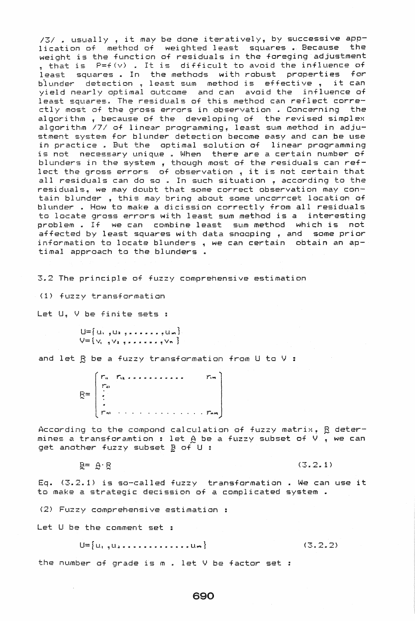*<sup>131</sup>*» usually, it may be done iteratively, by successive application of method of weighted least squares. Because the weight is the function of residuals in the foreging adjustment , that is P=f(v) It is difficult to avoid the influence of least squares. In the methods with robust properties for blunder detection, least sum method is effective, it can yield nearly optimal outcome and can avoid the influence of least squares. The residuals of this method can reflect correctly most of the gross errors in observation • Concerning the algorithm ~ because of the developing of the revised simplex algorithm *171* of linear programming, least sum method in adjustment system for blunder detection become easy and can be use in practice» But the optimal solution of linear programming is nat necessary unique *u* When there are a certain number of blunders in the system , though most of the residuals can reflect the gross errors of observation , it is not certain that all residuals can do so . In such situation , according to the residuals, we may doubt that some correct observation may contain blunder , this may bring about some uncorrcet location of blunder. How to make a dicission correctly from all residuals to locate gross errors with least sum method is a interesting problem .. If we can combine least sum method which is not affected by least squares with data snooping , and some prior information to locate blunders , we can certain obtain an aptimal approach to the blunders ..

3.2 The principle of fuzzy comprehensive estimation

(1) fuzzy transformation

Let U, V be finite sets :

 $U=\{u_1, u_2, u_3, u_4, u_5, u_6\}$  $V=\{V_1, V_2, V_3, V_4, V_5, V_7\}$ 

and let  $B$  be a fuzzy transformation from U to V :

r" r u.",.." .. " ...... II ,. r,.., r, 8= r ..<br>Paris e les consecuencia est ... <mark>... . . .. ...</mark>

According to the compond calculation of fuzzy matrix,  $\beta$  determeturating to the compond calculation of fuzzy matrix,  $p$  determines a transforamtion : let  $p$  be a fuzzy subset of V , we can get another fuzzy subset  $\mathbf{B}$  of U :

 $\mathbb{R}^{\pm}$   $\Theta$   $\cdot$   $\mathbb{R}$  (3.2.1)

Eq. (3.2.1) is sa-called fuzzy transformation. We can use it to make a strategic decission of a complicated system.

(2) Fuzzy comprehensive estimation

Let U be the comment set :

 $\sim$ 

 $U = \{u_{1}, u_{2}, \ldots, u_{n}, \ldots, u_{m}\}$ 

**(3.2.2)** 

the number of grade is  $m$  . let  $V$  be factor set :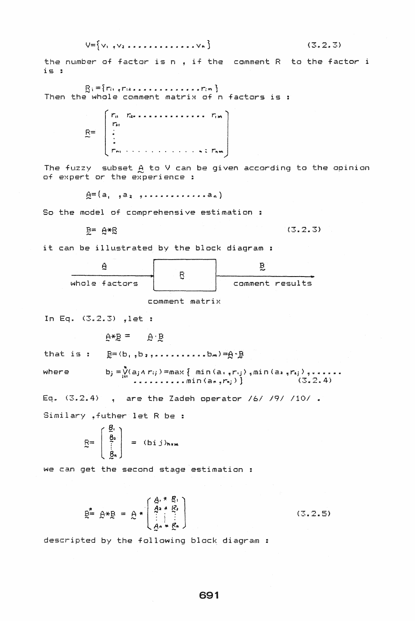$$
\bigvee = \bigvee_{i=1}^{n} \bigvee_{i=1}^{n} \bigvee_{i=1}^{n} \bigvee_{i=1}^{n} \bigvee_{i=1}^{n} \bigvee_{i=1}^{n} \bigvee_{i=1}^{n} \bigvee_{i=1}^{n} \bigvee_{i=1}^{n} \bigvee_{i=1}^{n} \bigvee_{i=1}^{n} \bigvee_{i=1}^{n} \bigvee_{i=1}^{n} \bigvee_{i=1}^{n} \bigvee_{i=1}^{n} \bigvee_{i=1}^{n} \bigvee_{i=1}^{n} \bigvee_{i=1}^{n} \bigvee_{i=1}^{n} \bigvee_{i=1}^{n} \bigvee_{i=1}^{n} \bigvee_{i=1}^{n} \bigvee_{i=1}^{n} \bigvee_{i=1}^{n} \bigvee_{i=1}^{n} \bigvee_{i=1}^{n} \bigvee_{i=1}^{n} \bigvee_{i=1}^{n} \bigvee_{i=1}^{n} \bigvee_{i=1}^{n} \bigvee_{i=1}^{n} \bigvee_{i=1}^{n} \bigvee_{i=1}^{n} \bigvee_{i=1}^{n} \bigvee_{i=1}^{n} \bigvee_{i=1}^{n} \bigvee_{i=1}^{n} \bigvee_{i=1}^{n} \bigvee_{i=1}^{n} \bigvee_{i=1}^{n} \bigvee_{i=1}^{n} \bigvee_{i=1}^{n} \bigvee_{i=1}^{n} \bigvee_{i=1}^{n} \bigvee_{i=1}^{n} \bigvee_{i=1}^{n} \bigvee_{i=1}^{n} \bigvee_{i=1}^{n} \bigvee_{i=1}^{n} \bigvee_{i=1}^{n} \bigvee_{i=1}^{n} \bigvee_{i=1}^{n} \bigvee_{i=1}^{n} \bigvee_{i=1}^{n} \bigvee_{i=1}^{n} \bigvee_{i=1}^{n} \bigvee_{i=1}^{n} \bigvee_{i=1}^{n} \bigvee_{i=1}^{n} \bigvee_{i=1}^{n} \bigvee_{i=1}^{n} \bigvee_{i=1}^{n} \bigvee_{i=1}^{n
$$

# $(3.2.3)$

the number of factor is n, if the comment R to the factor i  $i s$ :

Then the whole comment matrix of n factors is :

> $\Gamma_0 = \Gamma_{00} + \Gamma_{01} + \Gamma_{12} + \Gamma_{13} + \Gamma_{24} + \Gamma_{14} + \Gamma_{15} + \Gamma_{16}$  $\begin{bmatrix}\n\mathbf{r}_{11} \\
> \vdots \\
> \mathbf{r}_{m1}\n\end{bmatrix}$  $\frac{R}{2}$ *A. A. A. A. A. A. A. A. A. A. A. Thm.*

The fuzzy subset  $A$  to V can be given according to the opinion of expert or the experience :

 $A = (a_1, a_2, a_3, a_4, a_5, a_6, a_7)$ 

So the model of comprehensive estimation :

$$
\overline{B} = \overline{B} * \overline{B}
$$

 $(3, 2, 3)$ 

it can be illustrated by the block diagram :



comment matrix

In Eq.  $(3.2.3)$ , let :

 $A*B = B'B$ 

 $g = (b_1, b_2, \ldots, a_n, \ldots, b_m) = 0.9$ that is :

where

b<sub>j</sub> = 
$$
\sqrt[n]{(a_j \land r_{ij})}
$$
 = max { min( $a_{1, j}r_{ij}$ ) , min( $a_{2, j}r_{ij}$ ) , ... (3, 2, 4)

Eq.  $(3.2.4)$ , are the Zadeh operator /6/ /9/ /10/.

Similary , futher let R be :

$$
R = \begin{bmatrix} \frac{g_1}{g_2} \\ \vdots \\ \frac{g_n}{g_n} \end{bmatrix} = (bij)_{n \times m}
$$

we can get the second stage estimation :

$$
\mathbf{E}^{\mathbf{A}} = \mathbf{A} * \begin{bmatrix} \mathbf{A} \cdot * & \mathbf{R} \\ \mathbf{A}^2 \cdot * & \mathbf{R}^2 \\ \vdots & \vdots & \vdots \\ \mathbf{A}^n \cdot * & \mathbf{R}^n \end{bmatrix}
$$
 (3.2.5)

descripted by the following block diagram :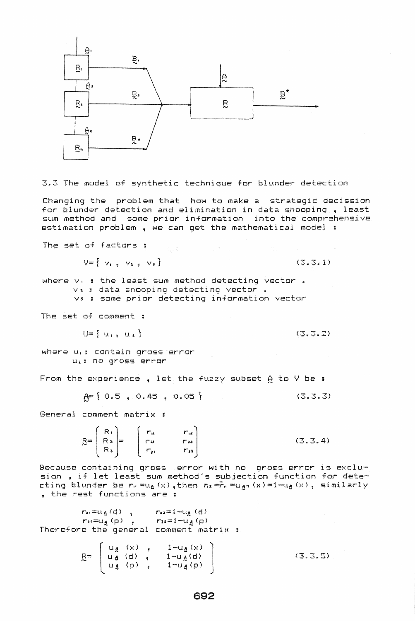

3.3 The model of synthetic technique for blunder detection

Changing the problem that how to make a strategic decission for blunder detection and elimination in data snooping, least sum method and same prior information into the comprehensive estimation problem , we can get the mathematical model :

The set of factors : the set of factors :

$$
\mathsf{V} = \left\{ \begin{array}{ccc} \mathsf{V}_{1} & \mathsf{V}_{2} & \mathsf{V}_{3} \end{array} \right\} \tag{3.3.1}
$$

where  $v_0$  ; the least sum method detecting vector . v. : data snooping detecting vector VJ some prior detecting information vector

The set of comment g

$$
U = \{ u_1, u_2 \}
$$

**(3.3.2>** 

where u,: contain gross error Ltz: no gross error

From the experience.. let the fuzzy subset A to V be :

$$
\underline{A} = \{ 0.5, 0.45, 0.05 \}
$$
 (3.3.3)

General comment matrix

 $B = \begin{bmatrix} R_1 \\ R_2 \\ R_3 \end{bmatrix} = \begin{bmatrix} r_{11} & r_{12} \\ r_{21} & r_{22} \\ r_{31} & r_{32} \end{bmatrix}$  $(3.3.4)$ 

Because containing gross error with no gross error is exclusian, if let least sum method's subjection function for detecting blunder be  $r_0 = u_{\Delta}(x)$ , then  $r_2 = r_n = u_{\Delta}(x) = 1 - u_{\Delta}(x)$ , similarly , the rest functions are :

 $r_2 = u_4(d)$ ,  $r_{12} = 1 - u_4(d)$ r:  $\frac{u - u_4(u)}{u_1 + u_2(u)}$ ,  $\frac{u_3 - 1 - u_4(u)}{u_2 + u_3}$ Therefore the general comment matrix

> $\left[\begin{array}{c}1-u_{\lambda}(x)\\1-u_{\lambda}(d)\end{array}\right]$  $1-\tilde{u}_A(\mathsf{p})$  $(3.3.5)$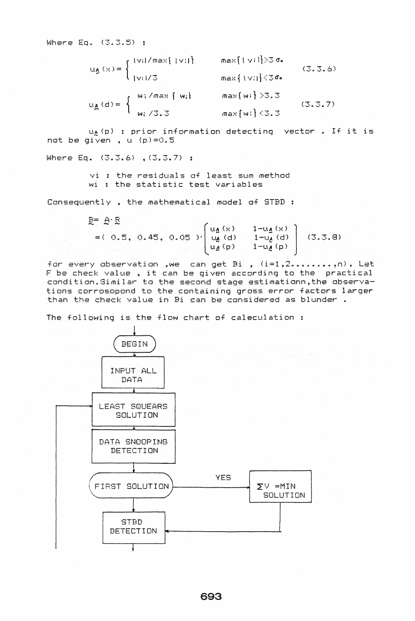Where Eq.  $(3,3,5)$ ;

| $\mathbf{u}_{\beta}\left(\mathbf{x}\right)=\left\{ \begin{aligned} &\frac{\left(\mathbf{v}_{\mathbf{i}}\right) / \max\left\{ \left\Vert \mathbf{v}_{\mathbf{i}}\right\Vert \right\} }{\left\Vert \mathbf{v}_{\mathbf{i}}\right\Vert /3} \end{aligned} \right.$ |  |                 | $max{1 \vee i}$ $3 \circ$ | (3.3.6) |
|----------------------------------------------------------------------------------------------------------------------------------------------------------------------------------------------------------------------------------------------------------------|--|-----------------|---------------------------|---------|
|                                                                                                                                                                                                                                                                |  |                 | $max{1v  }$ (36.          |         |
| $u_{\mathbb{A}}(d) = \begin{cases} w_1 / max {\text{ [ w_i]}}, \\ w_1 / 3.3 \end{cases}$                                                                                                                                                                       |  |                 | $max{w_i} > 3.3$          | (3.3.7) |
|                                                                                                                                                                                                                                                                |  | $max(w_i)$ <3.3 |                           |         |

ug(p) : prior information detecting vector . If it is not be given, u (p)=0.5

Where Eq.  $(3,3,6)$ ,  $(3,3,7)$ ;

vi : the residuals of least sum method wi : the statistic test variables

Consequently, the mathematical model of STBD:

 $B = A \cdot B$ =(0.5, 0.45, 0.05)  $\begin{bmatrix} u_A(x) & 1-u_A(x) \\ u_B(x) & 1-u_A(x) \\ u_B(p) & 1-u_A(p) \end{bmatrix}$  (3.3.8)

for every observation , we can get Bi ,  $(i=1,2.........n)$  . Let F be check value, it can be given according to the practical condition. Similar to the second stage estimationn, the observations corrosopond to the containing gross error factors larger than the check value in Bi can be considered as blunder.

The following is the flow chart of caleculation :